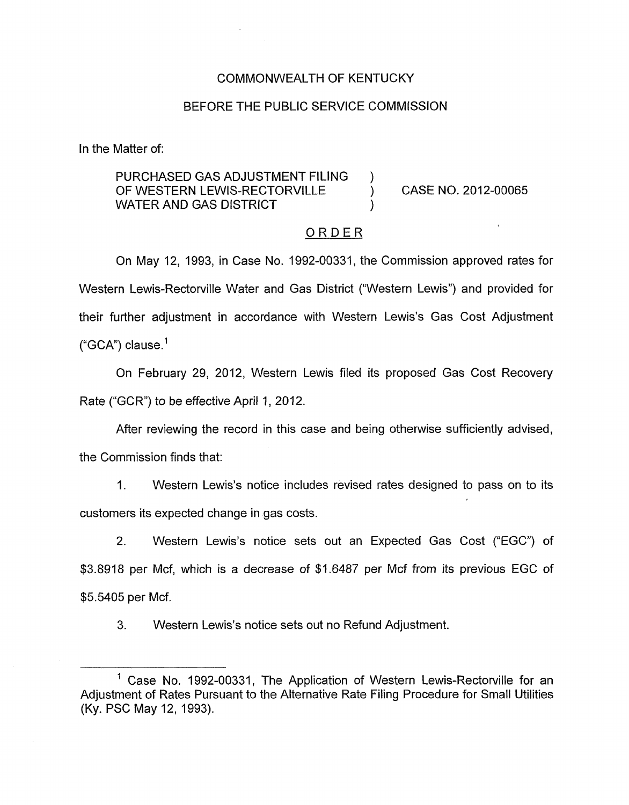## COMMONWEALTH OF KENTUCKY

## BEFORE THE PUBLIC SERVICE COMMISSION

In the Matter of:

## PURCHASED GAS ADJUSTMENT FILING ) OF WESTERN LEWIS-RECTORVILLE ) CASE NO. 2012-00065 WATER AND GAS DISTRICT

#### ORDER

On May 12, 1993, in Case No. 1992-00331, the Commission approved rates for Western Lewis-Rectorville Water and Gas District ("Western Lewis") and provided for their further adjustment in accordance with Western Lewis's Gas Cost Adjustment  $("GCA")$  clause.<sup>1</sup>

On February 29, 2012, Western Lewis filed its proposed Gas Cost Recovery Rate ("GCR") to be effective April 1, 2012.

After reviewing the record in this case and being otherwise sufficiently advised,

the Commission finds that:

1. Western Lewis's notice includes revised rates designed to pass on to its customers its expected change in gas costs.

2. Western Lewis's notice sets out an Expected Gas Cost ("EGC") of \$3.8918 per Mcf, which is a decrease of \$1.6487 per Mcf from its previous EGC of \$5.5405 per Mcf.

3. Western Lewis's notice sets out no Refund Adjustment.

<sup>&</sup>lt;sup>1</sup> Case No. 1992-00331, The Application of Western Lewis-Rectorville for an Adjustment of Rates Pursuant to the Alternative Rate Filing Procedure for Small Utilities (Ky. PSC May 12, 1993).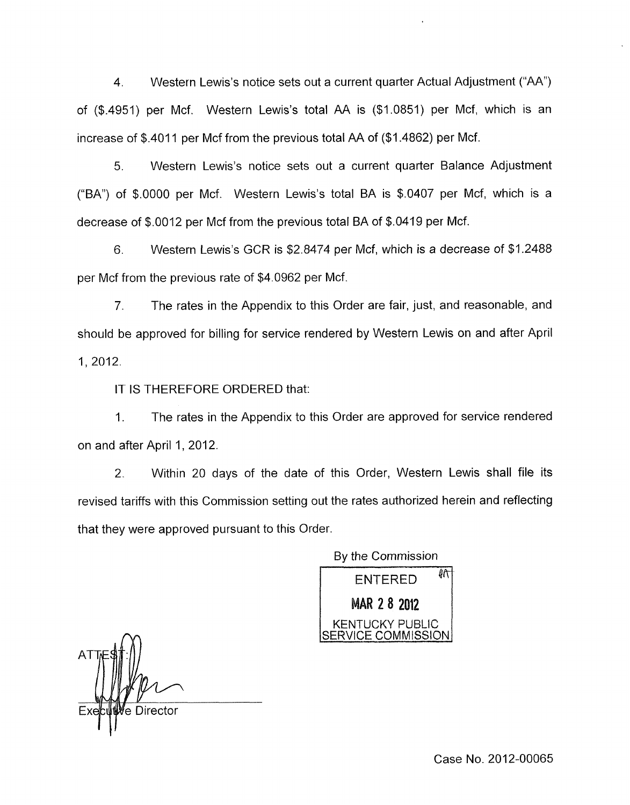4. Western Lewis's notice sets out a current quarter Actual Adjustment ("AA'') of (\$.4951) per Mcf. Western Lewis's total AA is (\$1.0851) per Mcf, which is an increase of \$.4011 per Mcf from the previous total AA of (\$1.4862) per Mcf.

*5.* Western Lewis's notice sets out a current quarter Balance Adjustment ("BA") of  $$.0000$  per Mcf. Western Lewis's total BA is  $$.0407$  per Mcf, which is a decrease of \$.0012 per Mcf from the previous total BA of \$0419 per Mcf.

*6.* Western Lewis's GCR is \$2.8474 per Mcf, which is a decrease of \$1.2488 per Mcf from the previous rate of \$4.0962 per Mcf.

*7.* The rates in the Appendix to this Order are fair, just, and reasonable, and should be approved for billing for service rendered by Western Lewis on and after April 1,2012.

IT IS THEREFORE ORDERED that:

1. The rates in the Appendix to this Order are approved for service rendered on and after April 1, 2012.

2. Within 20 days of the date of this Order, Western Lewis shall file its revised tariffs with this Commission setting out the rates authorized herein and reflecting that they were approved pursuant to this Order

> ENTERED<sup>41</sup> By the Commission

MAR 2 8 2012 **JCKY PUBLIC** COMMISSION.

<sup>/</sup>e Director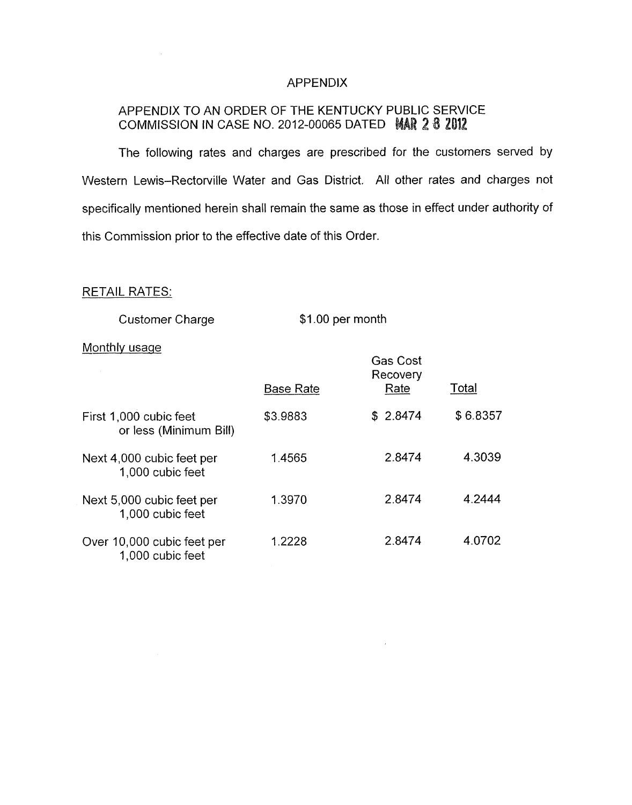## APPENDIX

# APPENDIX TO AN ORDER OF THE KENTUCKY PUBLIC SERVICE **COMMISSION IN CASE NO. 2012-00065 DATED MAR 2 8 2**

The following rates and charges are prescribed for the customers served by Western Lewis-Rectorville Water and Gas District. All other rates and charges not specifically mentioned herein shall remain the same as those in effect under authority *of*  this Commission prior to the effective date of this Order.

## RETAIL RATES:

Customer Charge

\$1.00 per month

 $\epsilon$ 

### Monthly usage

| Customer Charge                                  | \$1.00 per month |                                     |          |
|--------------------------------------------------|------------------|-------------------------------------|----------|
| Monthly usage                                    | <b>Base Rate</b> | <b>Gas Cost</b><br>Recovery<br>Rate | Total    |
| First 1,000 cubic feet<br>or less (Minimum Bill) | \$3.9883         | \$2.8474                            | \$6.8357 |
| Next 4,000 cubic feet per<br>1,000 cubic feet    | 1.4565           | 2.8474                              | 4.3039   |
| Next 5,000 cubic feet per<br>1,000 cubic feet    | 1.3970           | 2.8474                              | 4.2444   |
| Over 10,000 cubic feet per<br>1,000 cubic feet   | 1.2228           | 2.8474                              | 4.0702   |